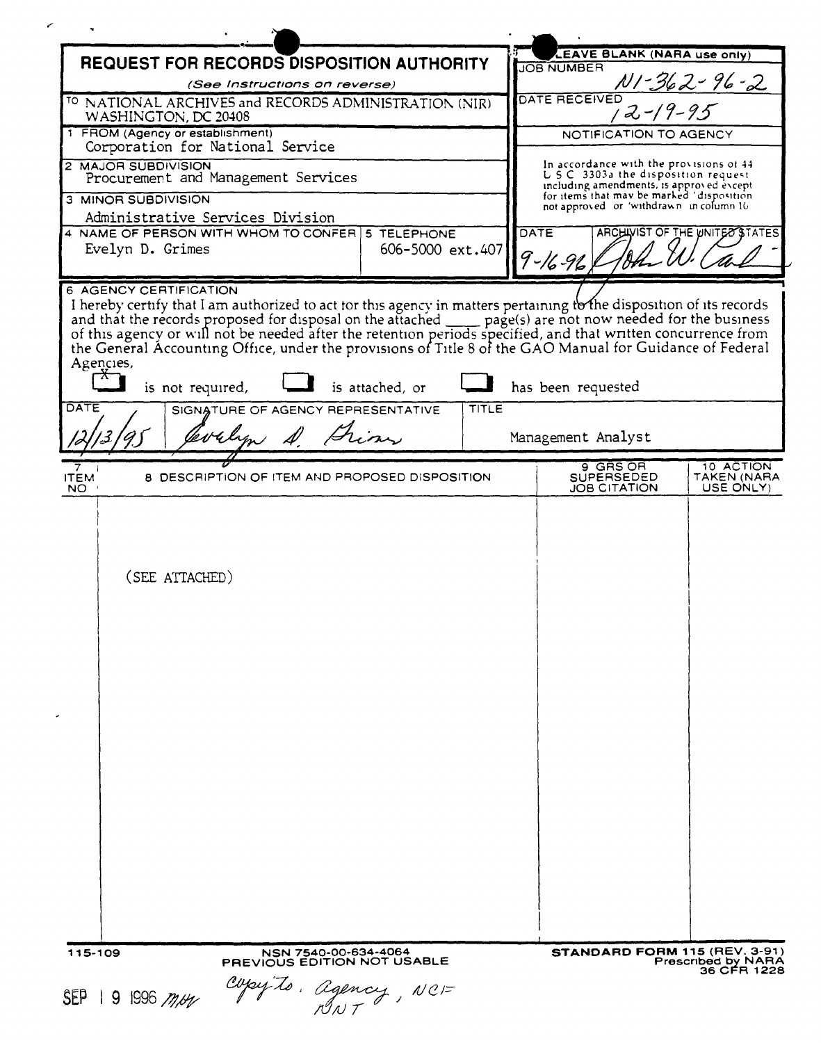|                                                                                   |                                                                             |                 |              | <b>EAVE BLANK (NARA use only)</b>                                                                                                                                                                                                                                     |                                          |
|-----------------------------------------------------------------------------------|-----------------------------------------------------------------------------|-----------------|--------------|-----------------------------------------------------------------------------------------------------------------------------------------------------------------------------------------------------------------------------------------------------------------------|------------------------------------------|
| <b>REQUEST FOR RECORDS DISPOSITION AUTHORITY</b><br>(See Instructions on reverse) |                                                                             |                 |              | <b>JOB NUMBER</b><br>NI-362-96-2                                                                                                                                                                                                                                      |                                          |
| <sup>TO</sup> NATIONAL ARCHIVES and RECORDS ADMINISTRATION (NIR)                  |                                                                             |                 |              | DATE RECEIVED                                                                                                                                                                                                                                                         |                                          |
| WASHINGTON, DC 20408                                                              |                                                                             |                 |              | 12-19-95                                                                                                                                                                                                                                                              |                                          |
| 1 FROM (Agency or establishment)<br>Corporation for National Service              |                                                                             |                 |              | NOTIFICATION TO AGENCY                                                                                                                                                                                                                                                |                                          |
| 2 MAJOR SUBDIVISION                                                               |                                                                             |                 |              | In accordance with the provisions of 44<br>U.S.C. 3303a the disposition request.                                                                                                                                                                                      |                                          |
| Procurement and Management Services                                               |                                                                             |                 |              | including amendments, is approved except<br>for items that may be marked 'disposition                                                                                                                                                                                 |                                          |
| 3 MINOR SUBDIVISION<br>Administrative Services Division                           |                                                                             |                 |              | not approved or 'withdrawn in column 10                                                                                                                                                                                                                               |                                          |
| 4 NAME OF PERSON WITH WHOM TO CONFER 5 TELEPHONE                                  |                                                                             |                 |              | <b>DATE</b>                                                                                                                                                                                                                                                           | ARCHIVIST OF THE WNITE OSTATES           |
| Evelyn D. Grimes<br>606-5000 ext.407                                              |                                                                             |                 |              | 9 - 16 - 96                                                                                                                                                                                                                                                           |                                          |
| 6 AGENCY CERTIFICATION                                                            |                                                                             |                 |              |                                                                                                                                                                                                                                                                       |                                          |
| Agencies,<br>is not required,<br>DATE                                             | SIGNATURE OF AGENCY REPRESENTATIVE<br>Why A. Frim                           | is attached, or | <b>TITLE</b> | of this agency or will not be needed after the retention periods specified, and that written concurrence from<br>the General Accounting Office, under the provisions of Title 8 of the GAO Manual for Guidance of Federal<br>has been requested<br>Management Analyst |                                          |
|                                                                                   |                                                                             |                 |              |                                                                                                                                                                                                                                                                       |                                          |
| <b>ITEM</b><br>NO.                                                                | 8 DESCRIPTION OF ITEM AND PROPOSED DISPOSITION                              |                 |              | 9 GRS OR<br>SUPERSEDED<br>JOB CITATION                                                                                                                                                                                                                                | 10 ACTION<br>TAKEN (NARA<br>USE ONLY)    |
| (SEE ATTACHED)                                                                    |                                                                             |                 |              |                                                                                                                                                                                                                                                                       |                                          |
| 115-109<br>$SEP$   9   996 <i>m/H</i>                                             | NSN 7540-00-634-4064<br>PREVIOUS EDITION NOT USABLE<br>Copy to. agency, NCF |                 |              | STANDARD FORM 115 (REV. 3-91)                                                                                                                                                                                                                                         | <b>Prescribed by NARA</b><br>36 CFR 1228 |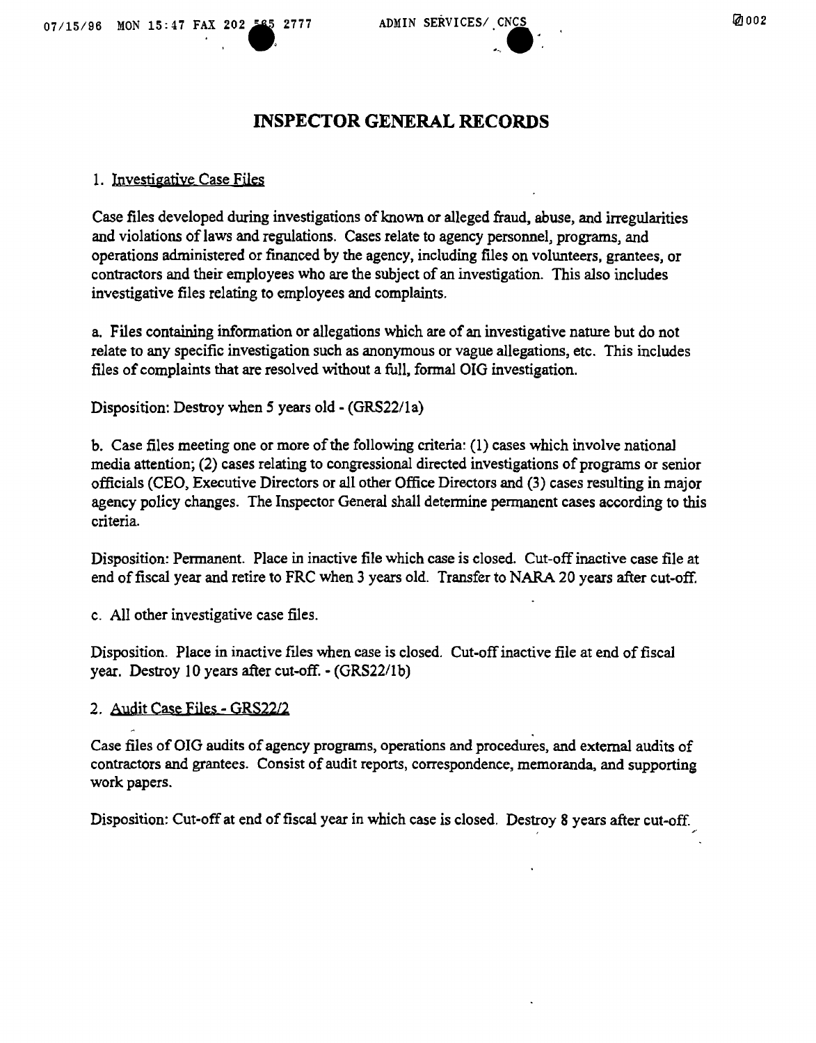# **INSPECTOR GENERAL RECORDS**

# 1. Investigative Case Files

Case files developed during investigations of known or alleged fraud, abuse, and irregularities and violations of laws and regulations. Cases relate to agency personnel, programs, and operations administered or financed by the agency, including files on volunteers, grantees, or contractors and their employees who are the subject of an investigation. This also includes investigative files relating to employees and complaints.

a. Files containing information or allegations which are of an investigative nature but do not relate to any specific investigation such as anonymous or vague allegations, etc. This includes files of complaints that are resolved without a full, formal 010 investigation.

Disposition: Destroy when 5 years old - (GRS22/1a)

b. Case files meeting one or more of the following criteria: (1) cases which involve national media attention; (2) cases relating to congressional directed investigations of programs or senior officials (CEO, Executive Directors or all other Office Directors and (3) cases resulting in major agency policy changes. The Inspector General shall determine permanent cases according to this criteria.

Disposition: Permanent. Place in inactive file which case is closed. Cut-off inactive case file at end of fiscal year and retire to FRC when 3 years old. Transfer to NARA 20 years after cut-off.

c. All other investigative case files.

Disposition. Place in inactive files when case is closed. Cut-off inactive file at end of fiscal year. Destroy 10 years after cut-off. - (GRS22/Ib)

# 2. Audit Case Files - GRS2212

Case files of OIG audits of agency programs, operations and procedures, and external audits of contractors and grantees. Consist of audit reports, correspondence, memoranda, and supporting work papers.

Disposition: Cut-off at end of fiscal year in which case is closed, Destroy 8 years after cut-off.